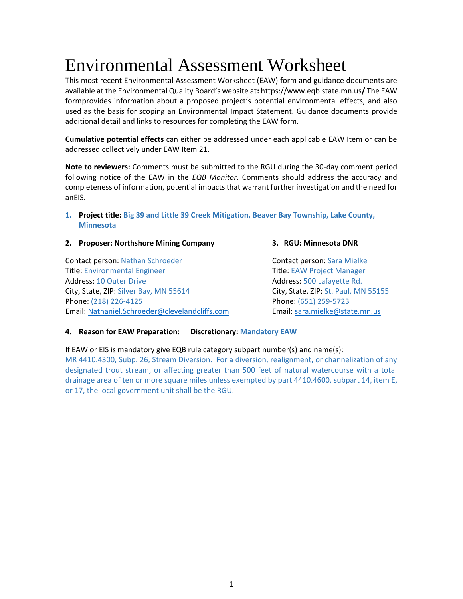# Environmental Assessment Worksheet

This most recent Environmental Assessment Worksheet (EAW) form and guidance documents are available at the Environmental Quality Board's website at**:** [https://www.eqb.state.mn.us](https://www.eqb.state.mn.us/)**/** The EAW formprovides information about a proposed project's potential environmental effects, and also used as the basis for scoping an Environmental Impact Statement. Guidance documents provide additional detail and links to resources for completing the EAW form.

**Cumulative potential effects** can either be addressed under each applicable EAW Item or can be addressed collectively under EAW Item 21.

**Note to reviewers:** Comments must be submitted to the RGU during the 30-day comment period following notice of the EAW in the *EQB Monitor*. Comments should address the accuracy and completeness of information, potential impacts that warrant further investigation and the need for anEIS.

# **1. Project title: Big 39 and Little 39 Creek Mitigation, Beaver Bay Township, Lake County, Minnesota**

# **2. Proposer: Northshore Mining Company 3. RGU: Minnesota DNR**

Contact person: Nathan Schroeder Contact person: Sara Mielke Title: Environmental Engineer Title: EAW Project Manager Address: 10 Outer Drive **Address: 10 Outer Drive Address: 500 Lafayette Rd.** City, State, ZIP: Silver Bay, MN 55614 City, State, ZIP: St. Paul, MN 55155 Phone: (218) 226-4125 Phone: (651) 259-5723 Email: [Nathaniel.Schroeder@clevelandcliffs.com](mailto:Nathaniel.Schroeder@clevelandcliffs.com) Email: [sara.mielke@state.mn.us](mailto:sara.mielke@state.mn.us)

# **4. Reason for EAW Preparation: Discretionary: Mandatory EAW**

If EAW or EIS is mandatory give EQB rule category subpart number(s) and name(s): MR 4410.4300, Subp. 26, Stream Diversion. For a diversion, realignment, or channelization of any designated trout stream, or affecting greater than 500 feet of natural watercourse with a total drainage area of ten or more square miles unless exempted by part [4410.4600,](https://www.revisor.mn.gov/rules?id=4410.4600) subpart 14, item E, or 17, the local government unit shall be the RGU.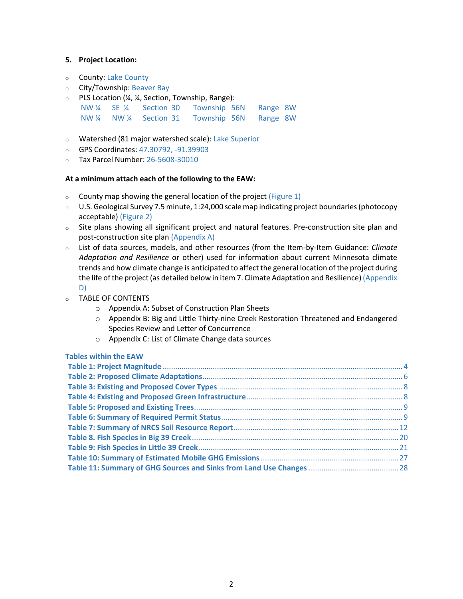# **5. Project Location:**

- o County: Lake County
- o City/Township: Beaver Bay
- $\circ$  PLS Location (¼, ¼, Section, Township, Range):
	- NW ¼ SE ¼ Section 30 Township 56N Range 8W NW ¼ NW ¼ Section 31 Township 56N Range 8W
- o Watershed (81 major watershed scale): Lake Superior
- o GPS Coordinates: 47.30792, -91.39903
- o Tax Parcel Number: 26-5608-30010

# **At a minimum attach each of the following to the EAW:**

- $\circ$  County map showing the general location of the project (Figure 1)
- o U.S. Geological Survey 7.5 minute, 1:24,000 scalemap indicating project boundaries(photocopy acceptable) (Figure 2)
- o Site plans showing all significant project and natural features. Pre-construction site plan and post-construction site plan (Appendix A)
- o List of data sources, models, and other resources (from the Item-by-Item Guidance: *Climate Adaptation and Resilience* or other) used for information about current Minnesota climate trends and how climate change is anticipated to affect the general location of the project during the life of the project (as detailed below in item 7. Climate Adaptation and Resilience) (Appendix D)
- o TABLE OF CONTENTS
	- o Appendix A: Subset of Construction Plan Sheets
	- o Appendix B: Big and Little Thirty-nine Creek Restoration Threatened and Endangered Species Review and Letter of Concurrence
	- o Appendix C: List of Climate Change data sources

# **Tables within the EAW**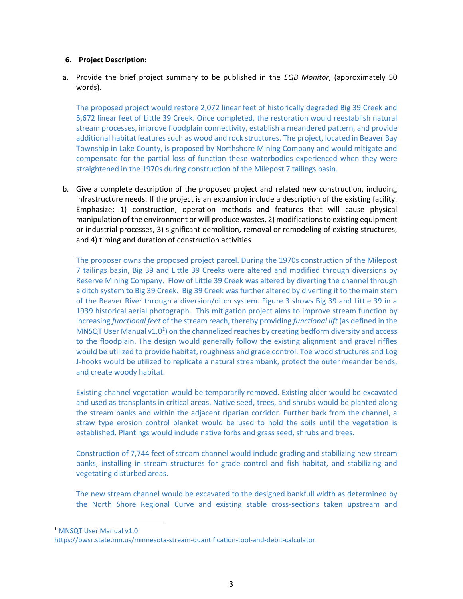# **6. Project Description:**

a. Provide the brief project summary to be published in the *EQB Monitor*, (approximately 50 words).

The proposed project would restore 2,072 linear feet of historically degraded Big 39 Creek and 5,672 linear feet of Little 39 Creek. Once completed, the restoration would reestablish natural stream processes, improve floodplain connectivity, establish a meandered pattern, and provide additional habitat features such as wood and rock structures. The project, located in Beaver Bay Township in Lake County, is proposed by Northshore Mining Company and would mitigate and compensate for the partial loss of function these waterbodies experienced when they were straightened in the 1970s during construction of the Milepost 7 tailings basin.

b. Give a complete description of the proposed project and related new construction, including infrastructure needs. If the project is an expansion include a description of the existing facility. Emphasize: 1) construction, operation methods and features that will cause physical manipulation of the environment or will produce wastes, 2) modifications to existing equipment or industrial processes, 3) significant demolition, removal or remodeling of existing structures, and 4) timing and duration of construction activities

The proposer owns the proposed project parcel. During the 1970s construction of the Milepost 7 tailings basin, Big 39 and Little 39 Creeks were altered and modified through diversions by Reserve Mining Company. Flow of Little 39 Creek was altered by diverting the channel through a ditch system to Big 39 Creek. Big 39 Creek was further altered by diverting it to the main stem of the Beaver River through a diversion/ditch system. Figure 3 shows Big 39 and Little 39 in a 1939 historical aerial photograph. This mitigation project aims to improve stream function by increasing *functional feet* of the stream reach, thereby providing *functional lift* (as defined in the MNSQT User Manual v1.0<sup>1</sup>) on the channelized reaches by creating bedform diversity and access to the floodplain. The design would generally follow the existing alignment and gravel riffles would be utilized to provide habitat, roughness and grade control. Toe wood structures and Log J-hooks would be utilized to replicate a natural streambank, protect the outer meander bends, and create woody habitat.

Existing channel vegetation would be temporarily removed. Existing alder would be excavated and used as transplants in critical areas. Native seed, trees, and shrubs would be planted along the stream banks and within the adjacent riparian corridor. Further back from the channel, a straw type erosion control blanket would be used to hold the soils until the vegetation is established. Plantings would include native forbs and grass seed, shrubs and trees.

Construction of 7,744 feet of stream channel would include grading and stabilizing new stream banks, installing in-stream structures for grade control and fish habitat, and stabilizing and vegetating disturbed areas.

The new stream channel would be excavated to the designed bankfull width as determined by the North Shore Regional Curve and existing stable cross-sections taken upstream and

<sup>&</sup>lt;sup>1</sup> MNSQT User Manual v1.0

https://bwsr.state.mn.us/minnesota-stream-quantification-tool-and-debit-calculator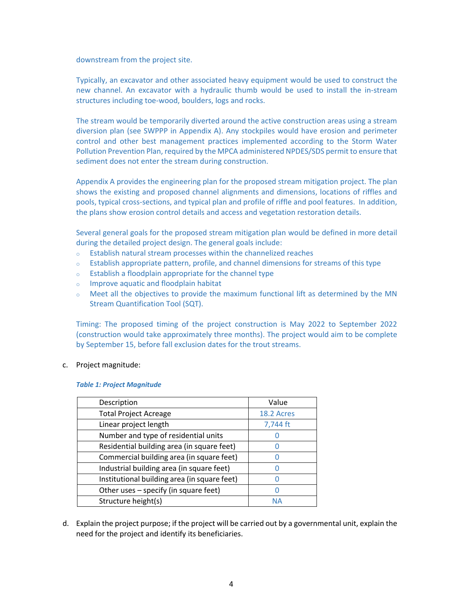downstream from the project site.

Typically, an excavator and other associated heavy equipment would be used to construct the new channel. An excavator with a hydraulic thumb would be used to install the in-stream structures including toe-wood, boulders, logs and rocks.

The stream would be temporarily diverted around the active construction areas using a stream diversion plan (see SWPPP in Appendix A). Any stockpiles would have erosion and perimeter control and other best management practices implemented according to the Storm Water Pollution Prevention Plan, required by the MPCA administered NPDES/SDS permit to ensure that sediment does not enter the stream during construction.

Appendix A provides the engineering plan for the proposed stream mitigation project. The plan shows the existing and proposed channel alignments and dimensions, locations of riffles and pools, typical cross-sections, and typical plan and profile of riffle and pool features. In addition, the plans show erosion control details and access and vegetation restoration details.

Several general goals for the proposed stream mitigation plan would be defined in more detail during the detailed project design. The general goals include:

- Establish natural stream processes within the channelized reaches
- $\circ$  Establish appropriate pattern, profile, and channel dimensions for streams of this type
- o Establish a floodplain appropriate for the channel type
- o Improve aquatic and floodplain habitat
- o Meet all the objectives to provide the maximum functional lift as determined by the MN Stream Quantification Tool (SQT).

Timing: The proposed timing of the project construction is May 2022 to September 2022 (construction would take approximately three months). The project would aim to be complete by September 15, before fall exclusion dates for the trout streams.

# <span id="page-3-0"></span>c. Project magnitude:

#### *Table 1: Project Magnitude*

| Description                                  | Value      |
|----------------------------------------------|------------|
| <b>Total Project Acreage</b>                 | 18.2 Acres |
| Linear project length                        | 7,744 ft   |
| Number and type of residential units         |            |
| Residential building area (in square feet)   |            |
| Commercial building area (in square feet)    |            |
| Industrial building area (in square feet)    |            |
| Institutional building area (in square feet) |            |
| Other uses - specify (in square feet)        |            |
| Structure height(s)                          | NΑ         |

d. Explain the project purpose; if the project will be carried out by a governmental unit, explain the need for the project and identify its beneficiaries.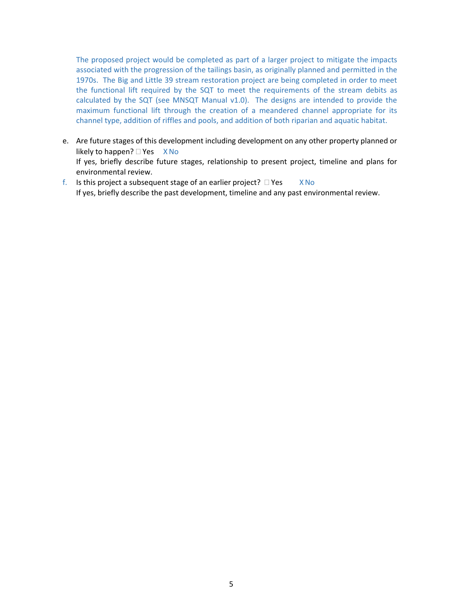The proposed project would be completed as part of a larger project to mitigate the impacts associated with the progression of the tailings basin, as originally planned and permitted in the 1970s. The Big and Little 39 stream restoration project are being completed in order to meet the functional lift required by the SQT to meet the requirements of the stream debits as calculated by the SQT (see MNSQT Manual v1.0). The designs are intended to provide the maximum functional lift through the creation of a meandered channel appropriate for its channel type, addition of riffles and pools, and addition of both riparian and aquatic habitat.

- e. Are future stages of this development including development on any other property planned or likely to happen?  $\Box$  Yes  $X$  No If yes, briefly describe future stages, relationship to present project, timeline and plans for environmental review.
- f. Is this project a subsequent stage of an earlier project?  $\Box$  Yes  $X$  No If yes, briefly describe the past development, timeline and any past environmental review.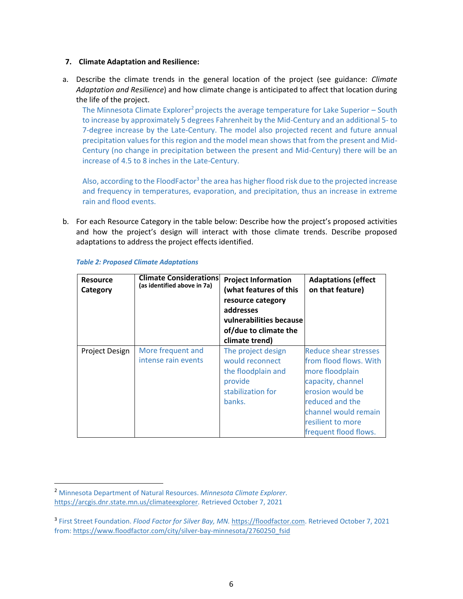### **7. Climate Adaptation and Resilience:**

a. Describe the climate trends in the general location of the project (see guidance: *Climate Adaptation and Resilience*) and how climate change is anticipated to affect that location during the life of the project.

The Minnesota Climate Explorer<sup>2</sup> projects the average temperature for Lake Superior – South to increase by approximately 5 degrees Fahrenheit by the Mid-Century and an additional 5- to 7-degree increase by the Late-Century. The model also projected recent and future annual precipitation values for this region and the model mean shows that from the present and Mid-Century (no change in precipitation between the present and Mid-Century) there will be an increase of 4.5 to 8 inches in the Late-Century.

Also, according to the FloodFactor<sup>3</sup> the area has higher flood risk due to the projected increase and frequency in temperatures, evaporation, and precipitation, thus an increase in extreme rain and flood events.

b. For each Resource Category in the table below: Describe how the project's proposed activities and how the project's design will interact with those climate trends. Describe proposed adaptations to address the project effects identified.

| <b>Resource</b><br>Category | <b>Climate Considerations</b><br>(as identified above in 7a) | <b>Project Information</b><br>(what features of this<br>resource category<br>addresses<br>vulnerabilities because<br>of/due to climate the<br>climate trend) | <b>Adaptations (effect</b><br>on that feature)                                                                                                                                                              |
|-----------------------------|--------------------------------------------------------------|--------------------------------------------------------------------------------------------------------------------------------------------------------------|-------------------------------------------------------------------------------------------------------------------------------------------------------------------------------------------------------------|
| Project Design              | More frequent and<br>intense rain events                     | The project design<br>would reconnect<br>the floodplain and<br>provide<br>stabilization for<br>banks.                                                        | <b>Reduce shear stresses</b><br>from flood flows. With<br>more floodplain<br>capacity, channel<br>erosion would be<br>reduced and the<br>channel would remain<br>resilient to more<br>frequent flood flows. |

# <span id="page-5-0"></span>*Table 2: Proposed Climate Adaptations*

<sup>2</sup> Minnesota Department of Natural Resources. *Minnesota Climate Explorer*. [https://arcgis.dnr.state.mn.us/climateexplorer.](https://arcgis.dnr.state.mn.us/climateexplorer) Retrieved October 7, 2021

<sup>3</sup> First Street Foundation. *Flood Factor for Silver Bay, MN.* [https://floodfactor.com.](https://floodfactor.com/) Retrieved October 7, 2021 from[: https://www.floodfactor.com/city/silver-bay-minnesota/2760250\\_fsid](https://www.floodfactor.com/city/silver-bay-minnesota/2760250_fsid)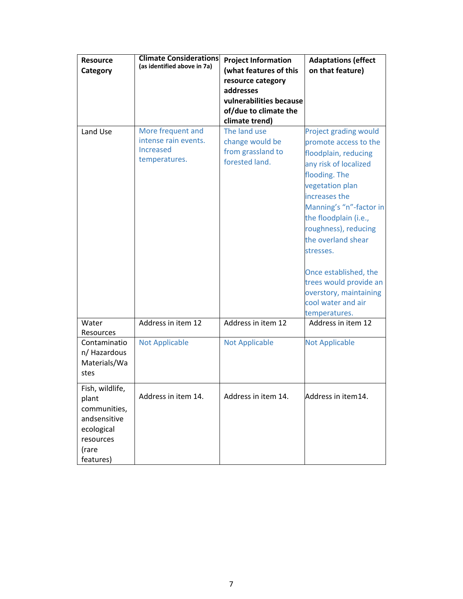| <b>Resource</b><br>Category                                                                               | <b>Climate Considerations</b><br>(as identified above in 7a)                   | <b>Project Information</b><br>(what features of this<br>resource category<br>addresses<br>vulnerabilities because<br>of/due to climate the<br>climate trend) | <b>Adaptations (effect</b><br>on that feature)                                                                                                                                                                                                                                                                                                                                                 |
|-----------------------------------------------------------------------------------------------------------|--------------------------------------------------------------------------------|--------------------------------------------------------------------------------------------------------------------------------------------------------------|------------------------------------------------------------------------------------------------------------------------------------------------------------------------------------------------------------------------------------------------------------------------------------------------------------------------------------------------------------------------------------------------|
| Land Use                                                                                                  | More frequent and<br>intense rain events.<br><b>Increased</b><br>temperatures. | The land use<br>change would be<br>from grassland to<br>forested land.                                                                                       | <b>Project grading would</b><br>promote access to the<br>floodplain, reducing<br>any risk of localized<br>flooding. The<br>vegetation plan<br>increases the<br>Manning's "n"-factor in<br>the floodplain (i.e.,<br>roughness), reducing<br>the overland shear<br>stresses.<br>Once established, the<br>trees would provide an<br>overstory, maintaining<br>cool water and air<br>temperatures. |
| Water<br>Resources                                                                                        | Address in item 12                                                             | Address in item 12                                                                                                                                           | Address in item 12                                                                                                                                                                                                                                                                                                                                                                             |
| Contaminatio<br>n/ Hazardous<br>Materials/Wa<br>stes                                                      | <b>Not Applicable</b>                                                          | <b>Not Applicable</b>                                                                                                                                        | <b>Not Applicable</b>                                                                                                                                                                                                                                                                                                                                                                          |
| Fish, wildlife,<br>plant<br>communities,<br>andsensitive<br>ecological<br>resources<br>(rare<br>features) | Address in item 14.                                                            | Address in item 14.                                                                                                                                          | Address in item14.                                                                                                                                                                                                                                                                                                                                                                             |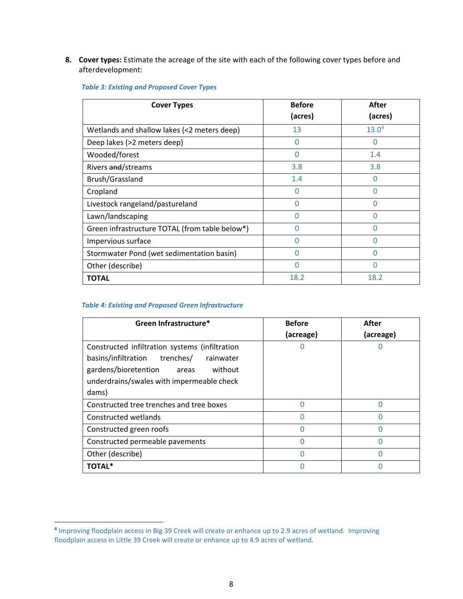**8. Cover types:** Estimate the acreage of the site with each of the following cover types before and afterdevelopment:

| <b>Cover Types</b>                             | <b>Before</b> | After             |
|------------------------------------------------|---------------|-------------------|
|                                                | (acres)       | (acres)           |
| Wetlands and shallow lakes (<2 meters deep)    | 13            | 13.0 <sup>4</sup> |
| Deep lakes (>2 meters deep)                    | O             |                   |
| Wooded/forest                                  | O             | 1.4               |
| Rivers and/streams                             | 3.8           | 3.8               |
| Brush/Grassland                                | 1.4           | O                 |
| Cropland                                       | O             |                   |
| Livestock rangeland/pastureland                | O             | N                 |
| Lawn/landscaping                               | O             |                   |
| Green infrastructure TOTAL (from table below*) | Ω             | U                 |
| Impervious surface                             | U             |                   |
| Stormwater Pond (wet sedimentation basin)      | Ω             | N                 |
| Other (describe)                               | Ω             |                   |
| <b>TOTAL</b>                                   | 18.2          | 18.2              |

# <span id="page-7-0"></span>*Table 3: Existing and Proposed Cover Types*

# <span id="page-7-1"></span>*Table 4: Existing and Proposed Green Infrastructure*

| Green Infrastructure*                                                                                                                                                                       | <b>Before</b> | After     |
|---------------------------------------------------------------------------------------------------------------------------------------------------------------------------------------------|---------------|-----------|
|                                                                                                                                                                                             | (acreage)     | (acreage) |
| Constructed infiltration systems (infiltration<br>basins/infiltration trenches/<br>rainwater<br>gardens/bioretention areas<br>without<br>underdrains/swales with impermeable check<br>dams) |               |           |
| Constructed tree trenches and tree boxes                                                                                                                                                    | Ω             | 0         |
| Constructed wetlands                                                                                                                                                                        |               |           |
| Constructed green roofs                                                                                                                                                                     |               |           |
| Constructed permeable pavements                                                                                                                                                             |               |           |
| Other (describe)                                                                                                                                                                            |               |           |
| TOTAL*                                                                                                                                                                                      |               |           |

<sup>4</sup> Improving floodplain access in Big 39 Creek will create or enhance up to 2.9 acres of wetland. Improving floodplain access in Little 39 Creek will create or enhance up to 4.9 acres of wetland.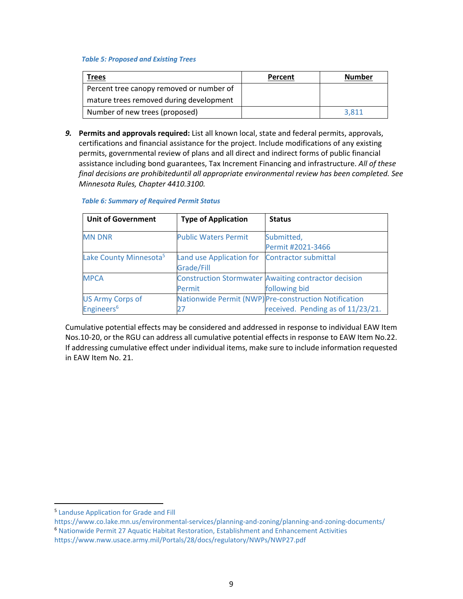#### <span id="page-8-0"></span>*Table 5: Proposed and Existing Trees*

| Trees                                    | Percent | <b>Number</b> |
|------------------------------------------|---------|---------------|
| Percent tree canopy removed or number of |         |               |
| mature trees removed during development  |         |               |
| Number of new trees (proposed)           |         | 3.811         |

*9.* **Permits and approvals required:** List all known local, state and federal permits, approvals, certifications and financial assistance for the project. Include modifications of any existing permits, governmental review of plans and all direct and indirect forms of public financial assistance including bond guarantees, Tax Increment Financing and infrastructure. *All of these final decisions are prohibiteduntil all appropriate environmental review has been completed. See Minnesota Rules, Chapter 4410.3100.*

| <b>Unit of Government</b>          | <b>Type of Application</b>  | <b>Status</b>                                               |
|------------------------------------|-----------------------------|-------------------------------------------------------------|
| <b>MN DNR</b>                      | <b>Public Waters Permit</b> | Submitted,                                                  |
|                                    |                             | Permit #2021-3466                                           |
| Lake County Minnesota <sup>5</sup> | Land use Application for    | Contractor submittal                                        |
|                                    | Grade/Fill                  |                                                             |
| <b>MPCA</b>                        |                             | <b>Construction Stormwater Awaiting contractor decision</b> |
|                                    | Permit                      | following bid                                               |
| <b>US Army Corps of</b>            |                             | Nationwide Permit (NWP) Pre-construction Notification       |
| Engineers <sup>6</sup>             | 27                          | received. Pending as of 11/23/21.                           |

#### <span id="page-8-1"></span>*Table 6: Summary of Required Permit Status*

Cumulative potential effects may be considered and addressed in response to individual EAW Item Nos.10-20, or the RGU can address all cumulative potential effects in response to EAW Item No.22. If addressing cumulative effect under individual items, make sure to include information requested in EAW Item No. 21.

<sup>5</sup> Landuse Application for Grade and Fill

https://www.co.lake.mn.us/environmental-services/planning-and-zoning/planning-and-zoning-documents/ <sup>6</sup> Nationwide Permit 27 Aquatic Habitat Restoration, Establishment and Enhancement Activities https://www.nww.usace.army.mil/Portals/28/docs/regulatory/NWPs/NWP27.pdf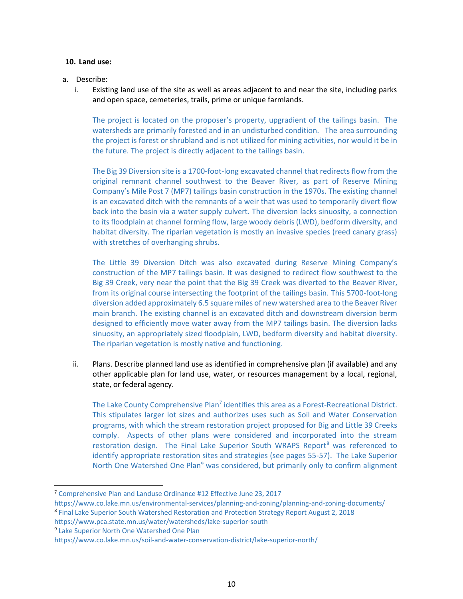# **10. Land use:**

# a. Describe:

i. Existing land use of the site as well as areas adjacent to and near the site, including parks and open space, cemeteries, trails, prime or unique farmlands.

The project is located on the proposer's property, upgradient of the tailings basin. The watersheds are primarily forested and in an undisturbed condition. The area surrounding the project is forest or shrubland and is not utilized for mining activities, nor would it be in the future. The project is directly adjacent to the tailings basin.

The Big 39 Diversion site is a 1700-foot-long excavated channel that redirects flow from the original remnant channel southwest to the Beaver River, as part of Reserve Mining Company's Mile Post 7 (MP7) tailings basin construction in the 1970s. The existing channel is an excavated ditch with the remnants of a weir that was used to temporarily divert flow back into the basin via a water supply culvert. The diversion lacks sinuosity, a connection to its floodplain at channel forming flow, large woody debris (LWD), bedform diversity, and habitat diversity. The riparian vegetation is mostly an invasive species (reed canary grass) with stretches of overhanging shrubs.

The Little 39 Diversion Ditch was also excavated during Reserve Mining Company's construction of the MP7 tailings basin. It was designed to redirect flow southwest to the Big 39 Creek, very near the point that the Big 39 Creek was diverted to the Beaver River, from its original course intersecting the footprint of the tailings basin. This 5700-foot-long diversion added approximately 6.5 square miles of new watershed area to the Beaver River main branch. The existing channel is an excavated ditch and downstream diversion berm designed to efficiently move water away from the MP7 tailings basin. The diversion lacks sinuosity, an appropriately sized floodplain, LWD, bedform diversity and habitat diversity. The riparian vegetation is mostly native and functioning.

ii. Plans. Describe planned land use as identified in comprehensive plan (if available) and any other applicable plan for land use, water, or resources management by a local, regional, state, or federal agency.

The Lake County Comprehensive Plan<sup>7</sup> identifies this area as a Forest-Recreational District. This stipulates larger lot sizes and authorizes uses such as Soil and Water Conservation programs, with which the stream restoration project proposed for Big and Little 39 Creeks comply. Aspects of other plans were considered and incorporated into the stream restoration design. The Final Lake Superior South WRAPS Report<sup>8</sup> was referenced to identify appropriate restoration sites and strategies (see pages 55-57). The Lake Superior North One Watershed One Plan<sup>9</sup> was considered, but primarily only to confirm alignment

<sup>7</sup> Comprehensive Plan and Landuse Ordinance #12 Effective June 23, 2017

https://www.co.lake.mn.us/environmental-services/planning-and-zoning/planning-and-zoning-documents/

<sup>&</sup>lt;sup>8</sup> Final Lake Superior South Watershed Restoration and Protection Strategy Report August 2, 2018

https://www.pca.state.mn.us/water/watersheds/lake-superior-south

<sup>&</sup>lt;sup>9</sup> Lake Superior North One Watershed One Plan

https://www.co.lake.mn.us/soil-and-water-conservation-district/lake-superior-north/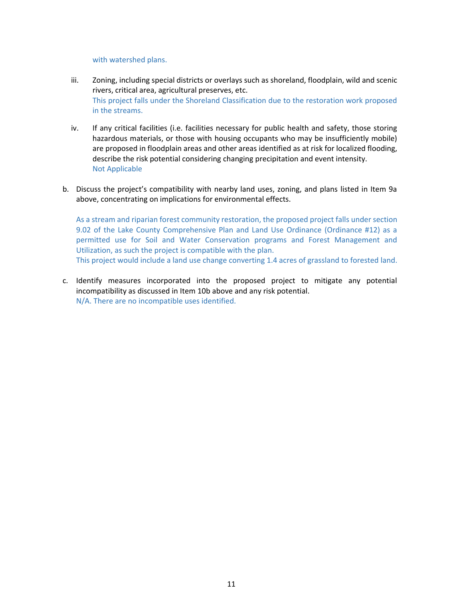with watershed plans.

- iii. Zoning, including special districts or overlays such as shoreland, floodplain, wild and scenic rivers, critical area, agricultural preserves, etc. This project falls under the Shoreland Classification due to the restoration work proposed in the streams.
- iv. If any critical facilities (i.e. facilities necessary for public health and safety, those storing hazardous materials, or those with housing occupants who may be insufficiently mobile) are proposed in floodplain areas and other areas identified as at risk for localized flooding, describe the risk potential considering changing precipitation and event intensity. Not Applicable
- b. Discuss the project's compatibility with nearby land uses, zoning, and plans listed in Item 9a above, concentrating on implications for environmental effects.

As a stream and riparian forest community restoration, the proposed project falls under section 9.02 of the Lake County Comprehensive Plan and Land Use Ordinance (Ordinance #12) as a permitted use for Soil and Water Conservation programs and Forest Management and Utilization, as such the project is compatible with the plan.

This project would include a land use change converting 1.4 acres of grassland to forested land.

c. Identify measures incorporated into the proposed project to mitigate any potential incompatibility as discussed in Item 10b above and any risk potential. N/A. There are no incompatible uses identified.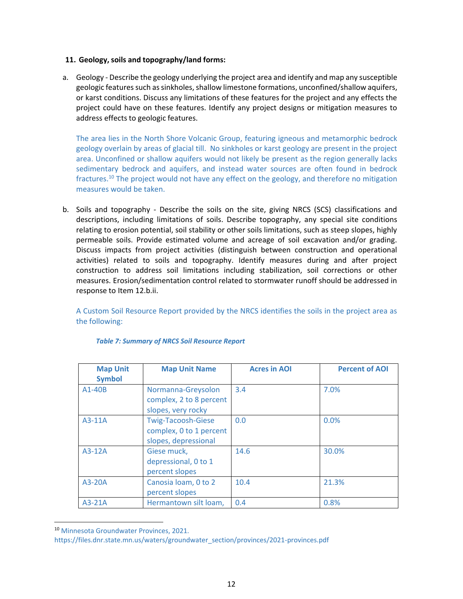# **11. Geology, soils and topography/land forms:**

a. Geology - Describe the geology underlying the project area and identify and map any susceptible geologic features such as sinkholes, shallow limestone formations, unconfined/shallow aquifers, or karst conditions. Discuss any limitations of these features for the project and any effects the project could have on these features. Identify any project designs or mitigation measures to address effects to geologic features.

The area lies in the North Shore Volcanic Group, featuring igneous and metamorphic bedrock geology overlain by areas of glacial till. No sinkholes or karst geology are present in the project area. Unconfined or shallow aquifers would not likely be present as the region generally lacks sedimentary bedrock and aquifers, and instead water sources are often found in bedrock fractures.<sup>10</sup> The project would not have any effect on the geology, and therefore no mitigation measures would be taken.

b. Soils and topography - Describe the soils on the site, giving NRCS (SCS) classifications and descriptions, including limitations of soils. Describe topography, any special site conditions relating to erosion potential, soil stability or other soils limitations, such as steep slopes, highly permeable soils. Provide estimated volume and acreage of soil excavation and/or grading. Discuss impacts from project activities (distinguish between construction and operational activities) related to soils and topography. Identify measures during and after project construction to address soil limitations including stabilization, soil corrections or other measures. Erosion/sedimentation control related to stormwater runoff should be addressed in response to Item 12.b.ii.

A Custom Soil Resource Report provided by the NRCS identifies the soils in the project area as the following:

<span id="page-11-0"></span>

| <b>Map Unit</b><br><b>Symbol</b> | <b>Map Unit Name</b>                                                         | <b>Acres in AOI</b> | <b>Percent of AOI</b> |
|----------------------------------|------------------------------------------------------------------------------|---------------------|-----------------------|
| $A1-40B$                         | Normanna-Greysolon<br>complex, 2 to 8 percent<br>slopes, very rocky          | 3.4                 | 7.0%                  |
| $A3-11A$                         | <b>Twig-Tacoosh-Giese</b><br>complex, 0 to 1 percent<br>slopes, depressional | 0.0                 | 0.0%                  |
| $A3-12A$                         | Giese muck,<br>depressional, 0 to 1<br>percent slopes                        | 14.6                | 30.0%                 |
| $A3-20A$                         | Canosia Ioam, 0 to 2<br>percent slopes                                       | 10.4                | 21.3%                 |
| $A3-21A$                         | Hermantown silt loam,                                                        | 0.4                 | 0.8%                  |

#### *Table 7: Summary of NRCS Soil Resource Report*

<sup>10</sup> Minnesota Groundwater Provinces, 2021.

https://files.dnr.state.mn.us/waters/groundwater\_section/provinces/2021-provinces.pdf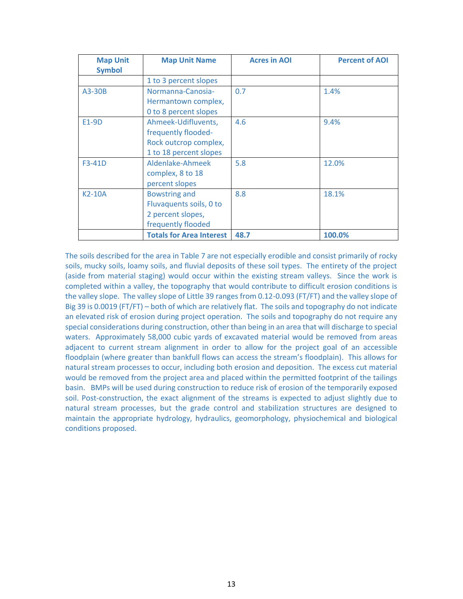| <b>Map Unit</b><br><b>Symbol</b> | <b>Map Unit Name</b>            | <b>Acres in AOI</b> | <b>Percent of AOI</b> |
|----------------------------------|---------------------------------|---------------------|-----------------------|
|                                  |                                 |                     |                       |
|                                  | 1 to 3 percent slopes           |                     |                       |
| A3-30B                           | Normanna-Canosia-               | 0.7                 | 1.4%                  |
|                                  | Hermantown complex,             |                     |                       |
|                                  | 0 to 8 percent slopes           |                     |                       |
| E1-9D                            | Ahmeek-Udifluvents,             | 4.6                 | 9.4%                  |
|                                  | frequently flooded-             |                     |                       |
|                                  | Rock outcrop complex,           |                     |                       |
|                                  | 1 to 18 percent slopes          |                     |                       |
| F3-41D                           | Aldenlake-Ahmeek                | 5.8                 | 12.0%                 |
|                                  | complex, 8 to 18                |                     |                       |
|                                  | percent slopes                  |                     |                       |
| <b>K2-10A</b>                    | <b>Bowstring and</b>            | 8.8                 | 18.1%                 |
|                                  | Fluvaquents soils, 0 to         |                     |                       |
|                                  | 2 percent slopes,               |                     |                       |
|                                  | frequently flooded              |                     |                       |
|                                  | <b>Totals for Area Interest</b> | 48.7                | 100.0%                |

The soils described for the area in Table 7 are not especially erodible and consist primarily of rocky soils, mucky soils, loamy soils, and fluvial deposits of these soil types. The entirety of the project (aside from material staging) would occur within the existing stream valleys. Since the work is completed within a valley, the topography that would contribute to difficult erosion conditions is the valley slope. The valley slope of Little 39 ranges from 0.12-0.093 (FT/FT) and the valley slope of Big 39 is 0.0019 (FT/FT) – both of which are relatively flat. The soils and topography do not indicate an elevated risk of erosion during project operation. The soils and topography do not require any special considerations during construction, other than being in an area that will discharge to special waters. Approximately 58,000 cubic yards of excavated material would be removed from areas adjacent to current stream alignment in order to allow for the project goal of an accessible floodplain (where greater than bankfull flows can access the stream's floodplain). This allows for natural stream processes to occur, including both erosion and deposition. The excess cut material would be removed from the project area and placed within the permitted footprint of the tailings basin. BMPs will be used during construction to reduce risk of erosion of the temporarily exposed soil. Post-construction, the exact alignment of the streams is expected to adjust slightly due to natural stream processes, but the grade control and stabilization structures are designed to maintain the appropriate hydrology, hydraulics, geomorphology, physiochemical and biological conditions proposed.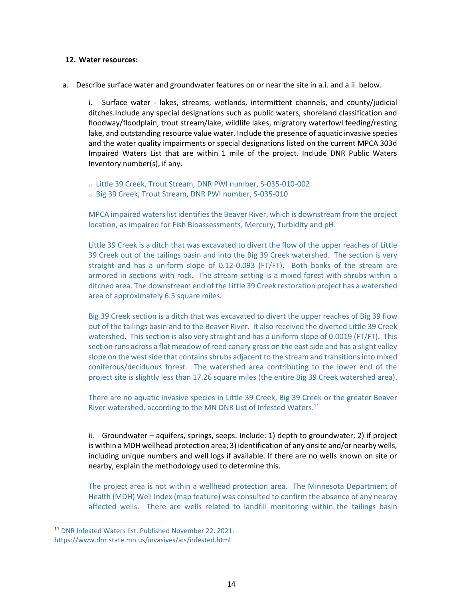#### **12. Water resources:**

a. Describe surface water and groundwater features on or near the site in a.i. and a.ii. below.

i. Surface water - lakes, streams, wetlands, intermittent channels, and county/judicial ditches.Include any special designations such as public waters, shoreland classification and floodway/floodplain, trout stream/lake, wildlife lakes, migratory waterfowl feeding/resting lake, and outstanding resource value water. Include the presence of aquatic invasive species and the water quality impairments or special designations listed on the current MPCA 303d Impaired Waters List that are within 1 mile of the project. Include DNR Public Waters Inventory number(s), if any.

o Little 39 Creek, Trout Stream, DNR PWI number, S-035-010-002

o Big 39 Creek, Trout Stream, DNR PWI number, S-035-010

MPCA impaired waters list identifies the Beaver River, which is downstream from the project location, as impaired for Fish Bioassessments, Mercury, Turbidity and pH.

Little 39 Creek is a ditch that was excavated to divert the flow of the upper reaches of Little 39 Creek out of the tailings basin and into the Big 39 Creek watershed. The section is very straight and has a uniform slope of 0.12-0.093 (FT/FT). Both banks of the stream are armored in sections with rock. The stream setting is a mixed forest with shrubs within a ditched area. The downstream end of the Little 39 Creek restoration project has a watershed area of approximately 6.5 square miles.

Big 39 Creek section is a ditch that was excavated to divert the upper reaches of Big 39 flow out of the tailings basin and to the Beaver River. It also received the diverted Little 39 Creek watershed. This section is also very straight and has a uniform slope of 0.0019 (FT/FT). This section runs across a flat meadow of reed canary grass on the east side and has a slight valley slope on the west side that contains shrubs adjacent to the stream and transitions into mixed coniferous/deciduous forest. The watershed area contributing to the lower end of the project site is slightly less than 17.26 square miles (the entire Big 39 Creek watershed area).

There are no aquatic invasive species in Little 39 Creek, Big 39 Creek or the greater Beaver River watershed, according to the MN DNR List of Infested Waters.<sup>11</sup>

ii. Groundwater – aquifers, springs, seeps. Include: 1) depth to groundwater; 2) if project is within a MDH wellhead protection area; 3) identification of any onsite and/or nearby wells, including unique numbers and well logs if available. If there are no wells known on site or nearby, explain the methodology used to determine this.

The project area is not within a wellhead protection area. The Minnesota Department of Health (MDH) Well Index (map feature) was consulted to confirm the absence of any nearby affected wells. There are wells related to landfill monitoring within the tailings basin

<sup>11</sup> DNR Infested Waters list. Published November 22, 2021.

https://www.dnr.state.mn.us/invasives/ais/infested.html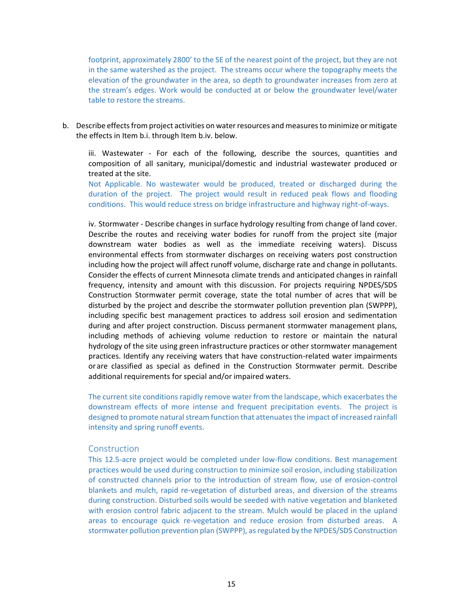footprint, approximately 2800' to the SE of the nearest point of the project, but they are not in the same watershed as the project. The streams occur where the topography meets the elevation of the groundwater in the area, so depth to groundwater increases from zero at the stream's edges. Work would be conducted at or below the groundwater level/water table to restore the streams.

b. Describe effects from project activities on water resources and measures to minimize or mitigate the effects in Item b.i. through Item b.iv. below.

iii. Wastewater - For each of the following, describe the sources, quantities and composition of all sanitary, municipal/domestic and industrial wastewater produced or treated at the site.

Not Applicable. No wastewater would be produced, treated or discharged during the duration of the project. The project would result in reduced peak flows and flooding conditions. This would reduce stress on bridge infrastructure and highway right-of-ways.

iv. Stormwater - Describe changes in surface hydrology resulting from change of land cover. Describe the routes and receiving water bodies for runoff from the project site (major downstream water bodies as well as the immediate receiving waters). Discuss environmental effects from stormwater discharges on receiving waters post construction including how the project will affect runoff volume, discharge rate and change in pollutants. Consider the effects of current Minnesota climate trends and anticipated changes in rainfall frequency, intensity and amount with this discussion. For projects requiring NPDES/SDS Construction Stormwater permit coverage, state the total number of acres that will be disturbed by the project and describe the stormwater pollution prevention plan (SWPPP), including specific best management practices to address soil erosion and sedimentation during and after project construction. Discuss permanent stormwater management plans, including methods of achieving volume reduction to restore or maintain the natural hydrology of the site using green infrastructure practices or other stormwater management practices. Identify any receiving waters that have construction-related water impairments orare classified as special as defined in the Construction Stormwater permit. Describe additional requirements for special and/or impaired waters.

The current site conditions rapidly remove water from the landscape, which exacerbates the downstream effects of more intense and frequent precipitation events. The project is designed to promote natural stream function that attenuates the impact of increased rainfall intensity and spring runoff events.

# **Construction**

This 12.5-acre project would be completed under low-flow conditions. Best management practices would be used during construction to minimize soil erosion, including stabilization of constructed channels prior to the introduction of stream flow, use of erosion-control blankets and mulch, rapid re-vegetation of disturbed areas, and diversion of the streams during construction. Disturbed soils would be seeded with native vegetation and blanketed with erosion control fabric adjacent to the stream. Mulch would be placed in the upland areas to encourage quick re-vegetation and reduce erosion from disturbed areas. A stormwater pollution prevention plan (SWPPP), as regulated by the NPDES/SDS Construction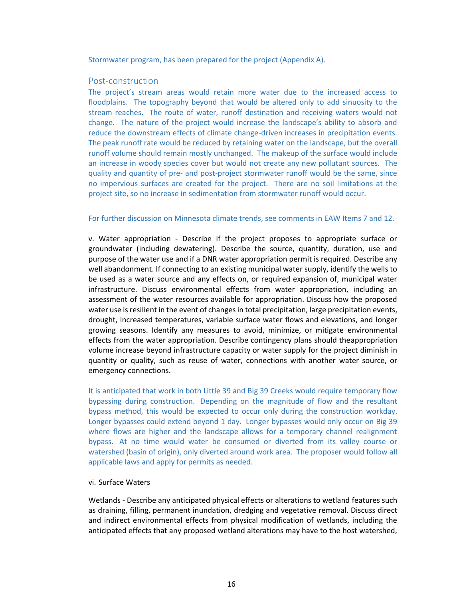Stormwater program, has been prepared for the project (Appendix A).

# Post-construction

The project's stream areas would retain more water due to the increased access to floodplains. The topography beyond that would be altered only to add sinuosity to the stream reaches. The route of water, runoff destination and receiving waters would not change. The nature of the project would increase the landscape's ability to absorb and reduce the downstream effects of climate change-driven increases in precipitation events. The peak runoff rate would be reduced by retaining water on the landscape, but the overall runoff volume should remain mostly unchanged. The makeup of the surface would include an increase in woody species cover but would not create any new pollutant sources. The quality and quantity of pre- and post-project stormwater runoff would be the same, since no impervious surfaces are created for the project. There are no soil limitations at the project site, so no increase in sedimentation from stormwater runoff would occur.

#### For further discussion on Minnesota climate trends, see comments in EAW Items 7 and 12.

v. Water appropriation - Describe if the project proposes to appropriate surface or groundwater (including dewatering). Describe the source, quantity, duration, use and purpose of the water use and if a DNR water appropriation permit is required. Describe any well abandonment. If connecting to an existing municipal water supply, identify the wells to be used as a water source and any effects on, or required expansion of, municipal water infrastructure. Discuss environmental effects from water appropriation, including an assessment of the water resources available for appropriation. Discuss how the proposed water use is resilient in the event of changes in total precipitation, large precipitation events, drought, increased temperatures, variable surface water flows and elevations, and longer growing seasons. Identify any measures to avoid, minimize, or mitigate environmental effects from the water appropriation. Describe contingency plans should theappropriation volume increase beyond infrastructure capacity or water supply for the project diminish in quantity or quality, such as reuse of water, connections with another water source, or emergency connections.

It is anticipated that work in both Little 39 and Big 39 Creeks would require temporary flow bypassing during construction. Depending on the magnitude of flow and the resultant bypass method, this would be expected to occur only during the construction workday. Longer bypasses could extend beyond 1 day. Longer bypasses would only occur on Big 39 where flows are higher and the landscape allows for a temporary channel realignment bypass. At no time would water be consumed or diverted from its valley course or watershed (basin of origin), only diverted around work area. The proposer would follow all applicable laws and apply for permits as needed.

# vi. Surface Waters

Wetlands - Describe any anticipated physical effects or alterations to wetland features such as draining, filling, permanent inundation, dredging and vegetative removal. Discuss direct and indirect environmental effects from physical modification of wetlands, including the anticipated effects that any proposed wetland alterations may have to the host watershed,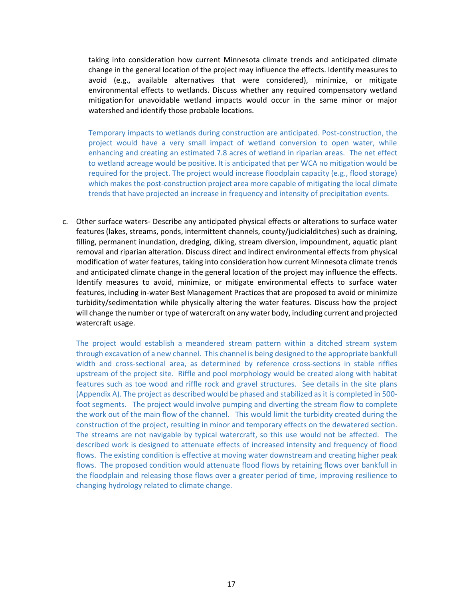taking into consideration how current Minnesota climate trends and anticipated climate change in the general location of the project may influence the effects. Identify measures to avoid (e.g., available alternatives that were considered), minimize, or mitigate environmental effects to wetlands. Discuss whether any required compensatory wetland mitigation for unavoidable wetland impacts would occur in the same minor or major watershed and identify those probable locations.

Temporary impacts to wetlands during construction are anticipated. Post-construction, the project would have a very small impact of wetland conversion to open water, while enhancing and creating an estimated 7.8 acres of wetland in riparian areas. The net effect to wetland acreage would be positive. It is anticipated that per WCA no mitigation would be required for the project. The project would increase floodplain capacity (e.g., flood storage) which makes the post-construction project area more capable of mitigating the local climate trends that have projected an increase in frequency and intensity of precipitation events.

c. Other surface waters- Describe any anticipated physical effects or alterations to surface water features (lakes, streams, ponds, intermittent channels, county/judicialditches) such as draining, filling, permanent inundation, dredging, diking, stream diversion, impoundment, aquatic plant removal and riparian alteration. Discuss direct and indirect environmental effects from physical modification of water features, taking into consideration how current Minnesota climate trends and anticipated climate change in the general location of the project may influence the effects. Identify measures to avoid, minimize, or mitigate environmental effects to surface water features, including in-water Best Management Practices that are proposed to avoid or minimize turbidity/sedimentation while physically altering the water features. Discuss how the project will change the number or type of watercraft on any water body, including current and projected watercraft usage.

The project would establish a meandered stream pattern within a ditched stream system through excavation of a new channel. This channel is being designed to the appropriate bankfull width and cross-sectional area, as determined by reference cross-sections in stable riffles upstream of the project site. Riffle and pool morphology would be created along with habitat features such as toe wood and riffle rock and gravel structures. See details in the site plans (Appendix A). The project as described would be phased and stabilized as it is completed in 500 foot segments. The project would involve pumping and diverting the stream flow to complete the work out of the main flow of the channel. This would limit the turbidity created during the construction of the project, resulting in minor and temporary effects on the dewatered section. The streams are not navigable by typical watercraft, so this use would not be affected. The described work is designed to attenuate effects of increased intensity and frequency of flood flows. The existing condition is effective at moving water downstream and creating higher peak flows. The proposed condition would attenuate flood flows by retaining flows over bankfull in the floodplain and releasing those flows over a greater period of time, improving resilience to changing hydrology related to climate change.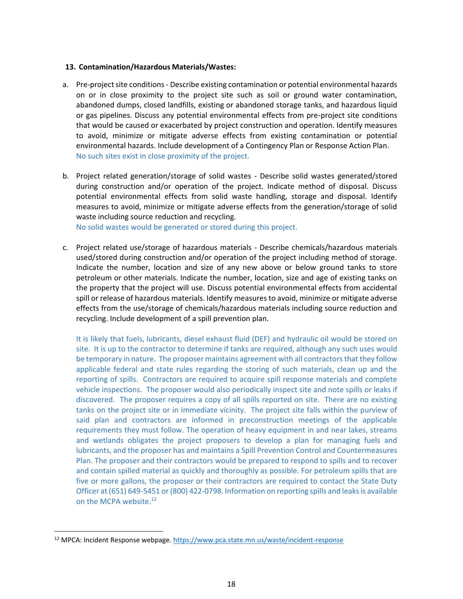# **13. Contamination/Hazardous Materials/Wastes:**

- a. Pre-project site conditions Describe existing contamination or potential environmental hazards on or in close proximity to the project site such as soil or ground water contamination, abandoned dumps, closed landfills, existing or abandoned storage tanks, and hazardous liquid or gas pipelines. Discuss any potential environmental effects from pre-project site conditions that would be caused or exacerbated by project construction and operation. Identify measures to avoid, minimize or mitigate adverse effects from existing contamination or potential environmental hazards. Include development of a Contingency Plan or Response Action Plan. No such sites exist in close proximity of the project.
- b. Project related generation/storage of solid wastes Describe solid wastes generated/stored during construction and/or operation of the project. Indicate method of disposal. Discuss potential environmental effects from solid waste handling, storage and disposal. Identify measures to avoid, minimize or mitigate adverse effects from the generation/storage of solid waste including source reduction and recycling.

No solid wastes would be generated or stored during this project.

c. Project related use/storage of hazardous materials - Describe chemicals/hazardous materials used/stored during construction and/or operation of the project including method of storage. Indicate the number, location and size of any new above or below ground tanks to store petroleum or other materials. Indicate the number, location, size and age of existing tanks on the property that the project will use. Discuss potential environmental effects from accidental spill or release of hazardous materials. Identify measures to avoid, minimize or mitigate adverse effects from the use/storage of chemicals/hazardous materials including source reduction and recycling. Include development of a spill prevention plan.

It is likely that fuels, lubricants, diesel exhaust fluid (DEF) and hydraulic oil would be stored on site. It is up to the contractor to determine if tanks are required, although any such uses would be temporary in nature. The proposer maintains agreement with all contractors that they follow applicable federal and state rules regarding the storing of such materials, clean up and the reporting of spills. Contractors are required to acquire spill response materials and complete vehicle inspections. The proposer would also periodically inspect site and note spills or leaks if discovered. The proposer requires a copy of all spills reported on site. There are no existing tanks on the project site or in immediate vicinity. The project site falls within the purview of said plan and contractors are informed in preconstruction meetings of the applicable requirements they must follow. The operation of heavy equipment in and near lakes, streams and wetlands obligates the project proposers to develop a plan for managing fuels and lubricants, and the proposer has and maintains a Spill Prevention Control and Countermeasures Plan. The proposer and their contractors would be prepared to respond to spills and to recover and contain spilled material as quickly and thoroughly as possible. For petroleum spills that are five or more gallons, the proposer or their contractors are required to contact the State Duty Officer at (651) 649-5451 or (800) 422-0798. Information on reporting spills and leaks is available on the MCPA website.<sup>12</sup>

<sup>12</sup> MPCA: Incident Response webpage.<https://www.pca.state.mn.us/waste/incident-response>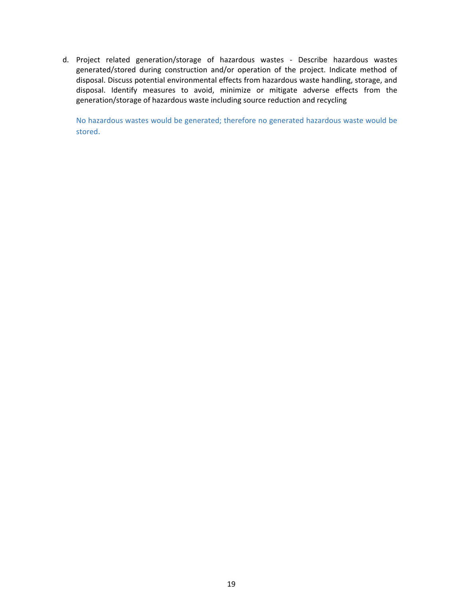d. Project related generation/storage of hazardous wastes - Describe hazardous wastes generated/stored during construction and/or operation of the project. Indicate method of disposal. Discuss potential environmental effects from hazardous waste handling, storage, and disposal. Identify measures to avoid, minimize or mitigate adverse effects from the generation/storage of hazardous waste including source reduction and recycling

No hazardous wastes would be generated; therefore no generated hazardous waste would be stored.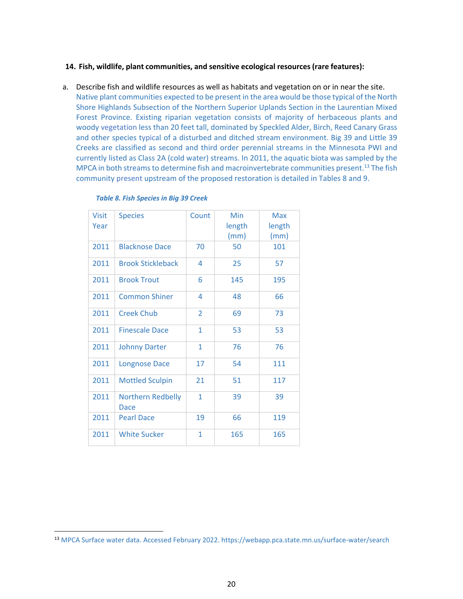# **14. Fish, wildlife, plant communities, and sensitive ecological resources (rare features):**

a. Describe fish and wildlife resources as well as habitats and vegetation on or in near the site. Native plant communities expected to be present in the area would be those typical of the North Shore Highlands Subsection of the Northern Superior Uplands Section in the Laurentian Mixed Forest Province. Existing riparian vegetation consists of majority of herbaceous plants and woody vegetation less than 20 feet tall, dominated by Speckled Alder, Birch, Reed Canary Grass and other species typical of a disturbed and ditched stream environment. Big 39 and Little 39 Creeks are classified as second and third order perennial streams in the Minnesota PWI and currently listed as Class 2A (cold water) streams. In 2011, the aquatic biota was sampled by the MPCA in both streams to determine fish and macroinvertebrate communities present.<sup>13</sup> The fish community present upstream of the proposed restoration is detailed in Tables 8 and 9.

<span id="page-19-0"></span>

| <b>Visit</b><br>Year | <b>Species</b>                   | Count        | Min<br>length<br>(mm) | <b>Max</b><br>length<br>(mm) |
|----------------------|----------------------------------|--------------|-----------------------|------------------------------|
| 2011                 | <b>Blacknose Dace</b>            | 70           | 50                    | 101                          |
| 2011                 | <b>Brook Stickleback</b>         | 4            | 25                    | 57                           |
| 2011                 | <b>Brook Trout</b>               | 6            | 145                   | 195                          |
| 2011                 | <b>Common Shiner</b>             | 4            | 48                    | 66                           |
| 2011                 | <b>Creek Chub</b>                | 2            | 69                    | 73                           |
| 2011                 | <b>Finescale Dace</b>            | $\mathbf{1}$ | 53                    | 53                           |
| 2011                 | <b>Johnny Darter</b>             | 1            | 76                    | 76                           |
| 2011                 | <b>Longnose Dace</b>             | 17           | 54                    | 111                          |
| 2011                 | <b>Mottled Sculpin</b>           | 21           | 51                    | 117                          |
| 2011                 | <b>Northern Redbelly</b><br>Dace | $\mathbf{1}$ | 39                    | 39                           |
| 2011                 | <b>Pearl Dace</b>                | 19           | 66                    | 119                          |
| 2011                 | <b>White Sucker</b>              | 1            | 165                   | 165                          |

#### *Table 8. Fish Species in Big 39 Creek*

<sup>13</sup> MPCA Surface water data. Accessed February 2022. https://webapp.pca.state.mn.us/surface-water/search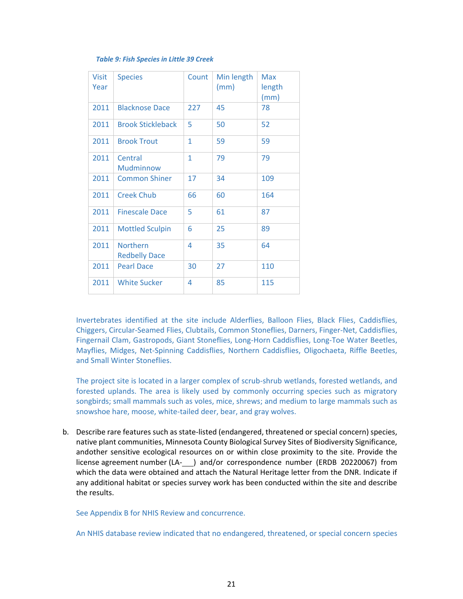#### *Table 9: Fish Species in Little 39 Creek*

<span id="page-20-0"></span>

| <b>Visit</b><br>Year | <b>Species</b>                          | Count | Min length<br>(mm) | Max<br>length<br>(mm) |
|----------------------|-----------------------------------------|-------|--------------------|-----------------------|
| 2011                 | <b>Blacknose Dace</b>                   | 227   | 45                 | 78                    |
| 2011                 | <b>Brook Stickleback</b>                | 5     | 50                 | 52                    |
| 2011                 | <b>Brook Trout</b>                      | 1     | 59                 | 59                    |
| 2011                 | Central<br>Mudminnow                    | 1     | 79                 | 79                    |
| 2011                 | <b>Common Shiner</b>                    | 17    | 34                 | 109                   |
| 2011                 | <b>Creek Chub</b>                       | 66    | 60                 | 164                   |
| 2011                 | <b>Finescale Dace</b>                   | 5     | 61                 | 87                    |
| 2011                 | <b>Mottled Sculpin</b>                  | 6     | 25                 | 89                    |
| 2011                 | <b>Northern</b><br><b>Redbelly Dace</b> | 4     | 35                 | 64                    |
| 2011                 | <b>Pearl Dace</b>                       | 30    | 27                 | 110                   |
| 2011                 | <b>White Sucker</b>                     | 4     | 85                 | 115                   |

Invertebrates identified at the site include Alderflies, Balloon Flies, Black Flies, Caddisflies, Chiggers, Circular-Seamed Flies, Clubtails, Common Stoneflies, Darners, Finger-Net, Caddisflies, Fingernail Clam, Gastropods, Giant Stoneflies, Long-Horn Caddisflies, Long-Toe Water Beetles, Mayflies, Midges, Net-Spinning Caddisflies, Northern Caddisflies, Oligochaeta, Riffle Beetles, and Small Winter Stoneflies.

The project site is located in a larger complex of scrub-shrub wetlands, forested wetlands, and forested uplands. The area is likely used by commonly occurring species such as migratory songbirds; small mammals such as voles, mice, shrews; and medium to large mammals such as snowshoe hare, moose, white-tailed deer, bear, and gray wolves.

b. Describe rare features such as state-listed (endangered, threatened or special concern) species, native plant communities, Minnesota County Biological Survey Sites of Biodiversity Significance, andother sensitive ecological resources on or within close proximity to the site. Provide the license agreement number (LA- ) and/or correspondence number (ERDB 20220067) from which the data were obtained and attach the Natural Heritage letter from the DNR. Indicate if any additional habitat or species survey work has been conducted within the site and describe the results.

See Appendix B for NHIS Review and concurrence.

An NHIS database review indicated that no endangered, threatened, or special concern species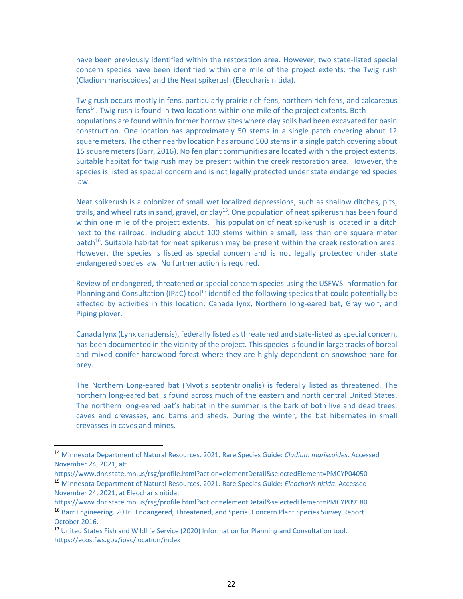have been previously identified within the restoration area. However, two state-listed special concern species have been identified within one mile of the project extents: the Twig rush (Cladium mariscoides) and the Neat spikerush (Eleocharis nitida).

Twig rush occurs mostly in fens, particularly prairie rich fens, northern rich fens, and calcareous fens<sup>14</sup>. Twig rush is found in two locations within one mile of the project extents. Both populations are found within former borrow sites where clay soils had been excavated for basin construction. One location has approximately 50 stems in a single patch covering about 12 square meters. The other nearby location has around 500 stems in a single patch covering about 15 square meters (Barr, 2016). No fen plant communities are located within the project extents. Suitable habitat for twig rush may be present within the creek restoration area. However, the species is listed as special concern and is not legally protected under state endangered species law.

Neat spikerush is a colonizer of small wet localized depressions, such as shallow ditches, pits, trails, and wheel ruts in sand, gravel, or clay<sup>15</sup>. One population of neat spikerush has been found within one mile of the project extents. This population of neat spikerush is located in a ditch next to the railroad, including about 100 stems within a small, less than one square meter patch<sup>16</sup>. Suitable habitat for neat spikerush may be present within the creek restoration area. However, the species is listed as special concern and is not legally protected under state endangered species law. No further action is required.

Review of endangered, threatened or special concern species using the USFWS Information for Planning and Consultation (IPaC) tool<sup>17</sup> identified the following species that could potentially be affected by activities in this location: Canada lynx, Northern long-eared bat, Gray wolf, and Piping plover.

Canada lynx (Lynx canadensis), federally listed as threatened and state-listed as special concern, has been documented in the vicinity of the project. This species is found in large tracks of boreal and mixed conifer-hardwood forest where they are highly dependent on snowshoe hare for prey.

The Northern Long-eared bat (Myotis septentrionalis) is federally listed as threatened. The northern long-eared bat is found across much of the eastern and north central United States. The northern long-eared bat's habitat in the summer is the bark of both live and dead trees, caves and crevasses, and barns and sheds. During the winter, the bat hibernates in small crevasses in caves and mines.

<sup>14</sup> Minnesota Department of Natural Resources. 2021. Rare Species Guide: *Cladium mariscoides*. Accessed November 24, 2021, at:

https://www.dnr.state.mn.us/rsg/profile.html?action=elementDetail&selectedElement=PMCYP04050 <sup>15</sup> Minnesota Department of Natural Resources. 2021. Rare Species Guide: *Eleocharis nitida*. Accessed November 24, 2021, at Eleocharis nitida:

https://www.dnr.state.mn.us/rsg/profile.html?action=elementDetail&selectedElement=PMCYP09180 <sup>16</sup> Barr Engineering. 2016. Endangered, Threatened, and Special Concern Plant Species Survey Report. October 2016.

<sup>17</sup> United States Fish and Wildlife Service (2020) Information for Planning and Consultation tool. https://ecos.fws.gov/ipac/location/index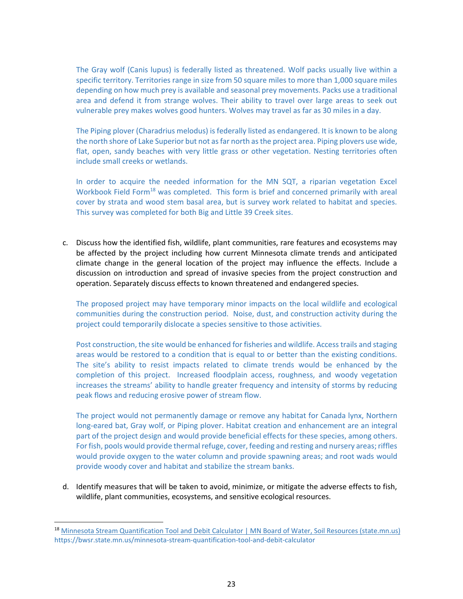The Gray wolf (Canis lupus) is federally listed as threatened. Wolf packs usually live within a specific territory. Territories range in size from 50 square miles to more than 1,000 square miles depending on how much prey is available and seasonal prey movements. Packs use a traditional area and defend it from strange wolves. Their ability to travel over large areas to seek out vulnerable prey makes wolves good hunters. Wolves may travel as far as 30 miles in a day.

The Piping plover (Charadrius melodus) is federally listed as endangered. It is known to be along the north shore of Lake Superior but not as far north as the project area. Piping plovers use wide, flat, open, sandy beaches with very little grass or other vegetation. Nesting territories often include small creeks or wetlands.

In order to acquire the needed information for the MN SQT, a riparian vegetation Excel Workbook Field Form<sup>18</sup> was completed. This form is brief and concerned primarily with areal cover by strata and wood stem basal area, but is survey work related to habitat and species. This survey was completed for both Big and Little 39 Creek sites.

c. Discuss how the identified fish, wildlife, plant communities, rare features and ecosystems may be affected by the project including how current Minnesota climate trends and anticipated climate change in the general location of the project may influence the effects. Include a discussion on introduction and spread of invasive species from the project construction and operation. Separately discuss effects to known threatened and endangered species.

The proposed project may have temporary minor impacts on the local wildlife and ecological communities during the construction period. Noise, dust, and construction activity during the project could temporarily dislocate a species sensitive to those activities.

Post construction, the site would be enhanced for fisheries and wildlife. Access trails and staging areas would be restored to a condition that is equal to or better than the existing conditions. The site's ability to resist impacts related to climate trends would be enhanced by the completion of this project. Increased floodplain access, roughness, and woody vegetation increases the streams' ability to handle greater frequency and intensity of storms by reducing peak flows and reducing erosive power of stream flow.

The project would not permanently damage or remove any habitat for Canada lynx, Northern long-eared bat, Gray wolf, or Piping plover. Habitat creation and enhancement are an integral part of the project design and would provide beneficial effects for these species, among others. For fish, pools would provide thermal refuge, cover, feeding and resting and nursery areas; riffles would provide oxygen to the water column and provide spawning areas; and root wads would provide woody cover and habitat and stabilize the stream banks.

d. Identify measures that will be taken to avoid, minimize, or mitigate the adverse effects to fish, wildlife, plant communities, ecosystems, and sensitive ecological resources.

<sup>&</sup>lt;sup>18</sup> Minnesota Stream Quantification Tool and Debit Calculator | MN Board of Water, Soil Resources (state.mn.us) https://bwsr.state.mn.us/minnesota-stream-quantification-tool-and-debit-calculator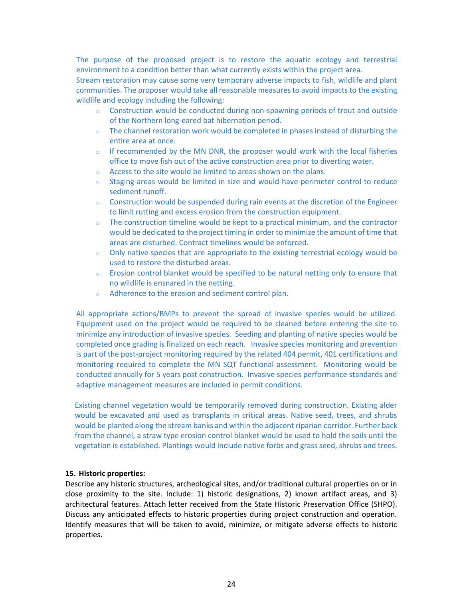The purpose of the proposed project is to restore the aquatic ecology and terrestrial environment to a condition better than what currently exists within the project area.

Stream restoration may cause some very temporary adverse impacts to fish, wildlife and plant communities. The proposer would take all reasonable measures to avoid impacts to the existing wildlife and ecology including the following:

- $\circ$  Construction would be conducted during non-spawning periods of trout and outside of the Northern long-eared bat hibernation period.
- $\circ$  The channel restoration work would be completed in phases instead of disturbing the entire area at once.
- $\circ$  If recommended by the MN DNR, the proposer would work with the local fisheries office to move fish out of the active construction area prior to diverting water.
- o Access to the site would be limited to areas shown on the plans.
- $\circ$  Staging areas would be limited in size and would have perimeter control to reduce sediment runoff.
- $\circ$  Construction would be suspended during rain events at the discretion of the Engineer to limit rutting and excess erosion from the construction equipment.
- $\circ$  The construction timeline would be kept to a practical minimum, and the contractor would be dedicated to the project timing in order to minimize the amount of time that areas are disturbed. Contract timelines would be enforced.
- $\circ$  Only native species that are appropriate to the existing terrestrial ecology would be used to restore the disturbed areas.
- $\circ$  Erosion control blanket would be specified to be natural netting only to ensure that no wildlife is ensnared in the netting.
- o Adherence to the erosion and sediment control plan.

All appropriate actions/BMPs to prevent the spread of invasive species would be utilized. Equipment used on the project would be required to be cleaned before entering the site to minimize any introduction of invasive species. Seeding and planting of native species would be completed once grading is finalized on each reach. Invasive species monitoring and prevention is part of the post-project monitoring required by the related 404 permit, 401 certifications and monitoring required to complete the MN SQT functional assessment. Monitoring would be conducted annually for 5 years post construction. Invasive species performance standards and adaptive management measures are included in permit conditions.

Existing channel vegetation would be temporarily removed during construction. Existing alder would be excavated and used as transplants in critical areas. Native seed, trees, and shrubs would be planted along the stream banks and within the adjacent riparian corridor. Further back from the channel, a straw type erosion control blanket would be used to hold the soils until the vegetation is established. Plantings would include native forbs and grass seed, shrubs and trees.

#### **15. Historic properties:**

Describe any historic structures, archeological sites, and/or traditional cultural properties on or in close proximity to the site. Include: 1) historic designations, 2) known artifact areas, and 3) architectural features. Attach letter received from the State Historic Preservation Office (SHPO). Discuss any anticipated effects to historic properties during project construction and operation. Identify measures that will be taken to avoid, minimize, or mitigate adverse effects to historic properties.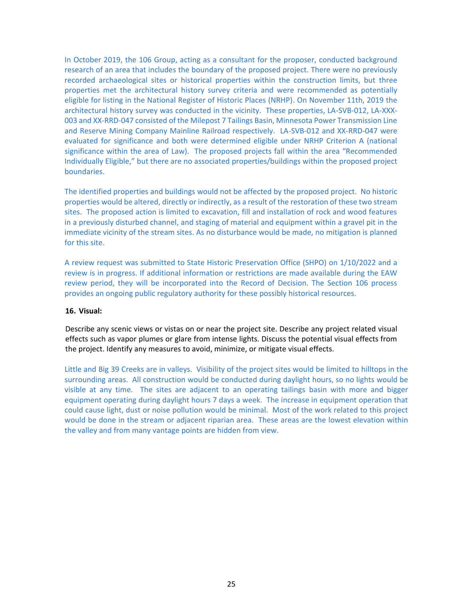In October 2019, the 106 Group, acting as a consultant for the proposer, conducted background research of an area that includes the boundary of the proposed project. There were no previously recorded archaeological sites or historical properties within the construction limits, but three properties met the architectural history survey criteria and were recommended as potentially eligible for listing in the National Register of Historic Places (NRHP). On November 11th, 2019 the architectural history survey was conducted in the vicinity. These properties, LA-SVB-012, LA-XXX-003 and XX-RRD-047 consisted of the Milepost 7 Tailings Basin, Minnesota Power Transmission Line and Reserve Mining Company Mainline Railroad respectively. LA-SVB-012 and XX-RRD-047 were evaluated for significance and both were determined eligible under NRHP Criterion A (national significance within the area of Law). The proposed projects fall within the area "Recommended Individually Eligible," but there are no associated properties/buildings within the proposed project boundaries.

The identified properties and buildings would not be affected by the proposed project. No historic properties would be altered, directly or indirectly, as a result of the restoration of these two stream sites. The proposed action is limited to excavation, fill and installation of rock and wood features in a previously disturbed channel, and staging of material and equipment within a gravel pit in the immediate vicinity of the stream sites. As no disturbance would be made, no mitigation is planned for this site.

A review request was submitted to State Historic Preservation Office (SHPO) on 1/10/2022 and a review is in progress. If additional information or restrictions are made available during the EAW review period, they will be incorporated into the Record of Decision. The Section 106 process provides an ongoing public regulatory authority for these possibly historical resources.

#### **16. Visual:**

Describe any scenic views or vistas on or near the project site. Describe any project related visual effects such as vapor plumes or glare from intense lights. Discuss the potential visual effects from the project. Identify any measures to avoid, minimize, or mitigate visual effects.

Little and Big 39 Creeks are in valleys. Visibility of the project sites would be limited to hilltops in the surrounding areas. All construction would be conducted during daylight hours, so no lights would be visible at any time. The sites are adjacent to an operating tailings basin with more and bigger equipment operating during daylight hours 7 days a week. The increase in equipment operation that could cause light, dust or noise pollution would be minimal. Most of the work related to this project would be done in the stream or adjacent riparian area. These areas are the lowest elevation within the valley and from many vantage points are hidden from view.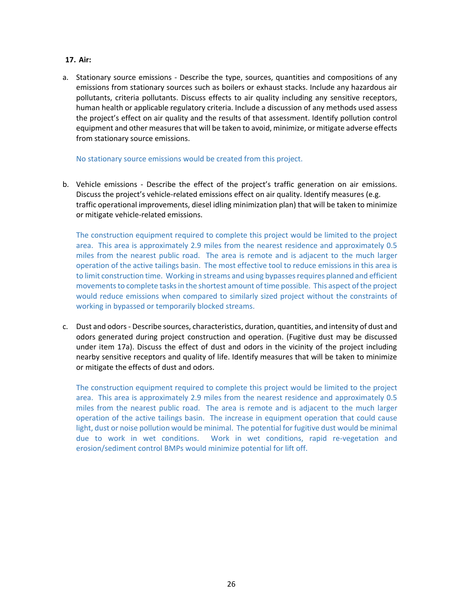# **17. Air:**

a. Stationary source emissions - Describe the type, sources, quantities and compositions of any emissions from stationary sources such as boilers or exhaust stacks. Include any hazardous air pollutants, criteria pollutants. Discuss effects to air quality including any sensitive receptors, human health or applicable regulatory criteria. Include a discussion of any methods used assess the project's effect on air quality and the results of that assessment. Identify pollution control equipment and other measures that will be taken to avoid, minimize, or mitigate adverse effects from stationary source emissions.

No stationary source emissions would be created from this project.

b. Vehicle emissions - Describe the effect of the project's traffic generation on air emissions. Discuss the project's vehicle-related emissions effect on air quality. Identify measures (e.g. traffic operational improvements, diesel idling minimization plan) that will be taken to minimize or mitigate vehicle-related emissions.

The construction equipment required to complete this project would be limited to the project area. This area is approximately 2.9 miles from the nearest residence and approximately 0.5 miles from the nearest public road. The area is remote and is adjacent to the much larger operation of the active tailings basin. The most effective tool to reduce emissions in this area is to limit construction time. Working in streams and using bypasses requires planned and efficient movements to complete tasks in the shortest amount of time possible. This aspect of the project would reduce emissions when compared to similarly sized project without the constraints of working in bypassed or temporarily blocked streams.

c. Dust and odors - Describe sources, characteristics, duration, quantities, and intensity of dust and odors generated during project construction and operation. (Fugitive dust may be discussed under item 17a). Discuss the effect of dust and odors in the vicinity of the project including nearby sensitive receptors and quality of life. Identify measures that will be taken to minimize or mitigate the effects of dust and odors.

The construction equipment required to complete this project would be limited to the project area. This area is approximately 2.9 miles from the nearest residence and approximately 0.5 miles from the nearest public road. The area is remote and is adjacent to the much larger operation of the active tailings basin. The increase in equipment operation that could cause light, dust or noise pollution would be minimal. The potential for fugitive dust would be minimal due to work in wet conditions. Work in wet conditions, rapid re-vegetation and erosion/sediment control BMPs would minimize potential for lift off.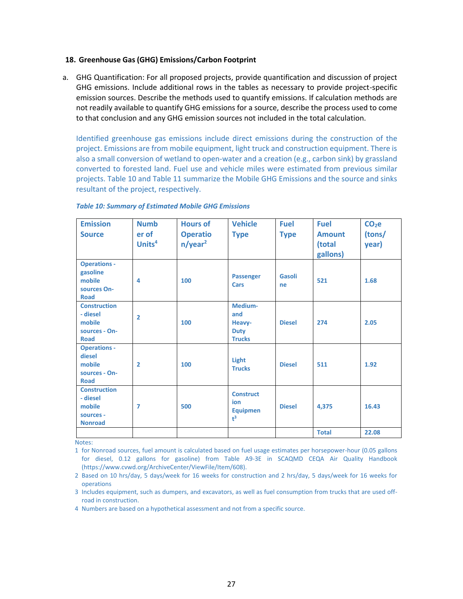### **18. Greenhouse Gas (GHG) Emissions/Carbon Footprint**

a. GHG Quantification: For all proposed projects, provide quantification and discussion of project GHG emissions. Include additional rows in the tables as necessary to provide project-specific emission sources. Describe the methods used to quantify emissions. If calculation methods are not readily available to quantify GHG emissions for a source, describe the process used to come to that conclusion and any GHG emission sources not included in the total calculation.

Identified greenhouse gas emissions include direct emissions during the construction of the project. Emissions are from mobile equipment, light truck and construction equipment. There is also a small conversion of wetland to open-water and a creation (e.g., carbon sink) by grassland converted to forested land. Fuel use and vehicle miles were estimated from previous similar projects. Table 10 and Table 11 summarize the Mobile GHG Emissions and the source and sinks resultant of the project, respectively.

| <b>Emission</b><br><b>Source</b>                                          | <b>Numb</b><br>er of<br>Units <sup>4</sup> | <b>Hours of</b><br><b>Operatio</b><br>n/year <sup>2</sup> | <b>Vehicle</b><br><b>Type</b>                            | <b>Fuel</b><br><b>Type</b> | <b>Fuel</b><br><b>Amount</b><br>(total<br>gallons) | $CO2$ e<br>(tons/<br>year) |
|---------------------------------------------------------------------------|--------------------------------------------|-----------------------------------------------------------|----------------------------------------------------------|----------------------------|----------------------------------------------------|----------------------------|
| <b>Operations -</b><br>gasoline<br>mobile<br>sources On-<br><b>Road</b>   | 4                                          | 100                                                       | <b>Passenger</b><br>Cars                                 | Gasoli<br>ne               | 521                                                | 1.68                       |
| <b>Construction</b><br>- diesel<br>mobile<br>sources - On-<br><b>Road</b> | $\overline{2}$                             | 100                                                       | Medium-<br>and<br>Heavy-<br><b>Duty</b><br><b>Trucks</b> | <b>Diesel</b>              | 274                                                | 2.05                       |
| <b>Operations -</b><br>diesel<br>mobile<br>sources - On-<br><b>Road</b>   | $\overline{2}$                             | 100                                                       | Light<br><b>Trucks</b>                                   | <b>Diesel</b>              | 511                                                | 1.92                       |
| <b>Construction</b><br>- diesel<br>mobile<br>sources -<br><b>Nonroad</b>  | $\overline{7}$                             | 500                                                       | <b>Construct</b><br>ion<br><b>Equipmen</b><br>$t^3$      | <b>Diesel</b>              | 4,375                                              | 16.43                      |
|                                                                           |                                            |                                                           |                                                          |                            | <b>Total</b>                                       | 22.08                      |

#### <span id="page-26-0"></span>*Table 10: Summary of Estimated Mobile GHG Emissions*

Notes:

1 for Nonroad sources, fuel amount is calculated based on fuel usage estimates per horsepower-hour (0.05 gallons for diesel, 0.12 gallons for gasoline) from Table A9-3E in SCAQMD CEQA Air Quality Handbook (https://www.cvwd.org/ArchiveCenter/ViewFile/Item/608).

4 Numbers are based on a hypothetical assessment and not from a specific source.

<sup>2</sup> Based on 10 hrs/day, 5 days/week for 16 weeks for construction and 2 hrs/day, 5 days/week for 16 weeks for operations

<sup>3</sup> Includes equipment, such as dumpers, and excavators, as well as fuel consumption from trucks that are used offroad in construction.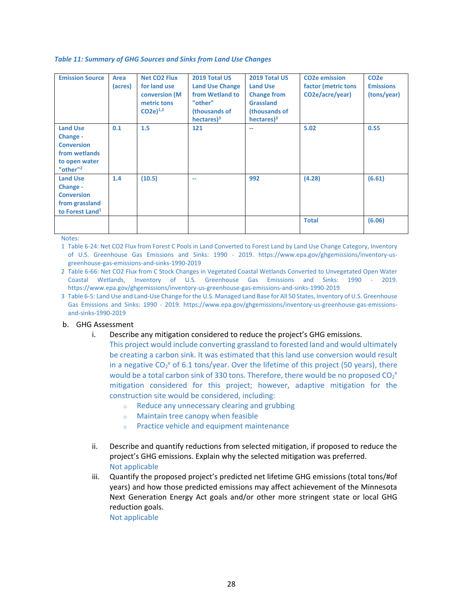#### <span id="page-27-0"></span>*Table 11: Summary of GHG Sources and Sinks from Land Use Changes*

| <b>Emission Source</b>                                                                                     | Area<br>(acres) | <b>Net CO2 Flux</b><br>for land use<br>conversion (M)<br>metric tons<br>$CO2e)^{1,2}$ | 2019 Total US<br><b>Land Use Change</b><br>from Wetland to<br>"other"<br>(thousands of<br>$hectors$ <sup>3</sup> | 2019 Total US<br><b>Land Use</b><br><b>Change from</b><br><b>Grassland</b><br>(thousands of<br>$h$ ectares $)^3$ | <b>CO2e emission</b><br>factor (metric tons<br>CO2e/acre/year) | CO <sub>2</sub> e<br><b>Emissions</b><br>(tons/year) |
|------------------------------------------------------------------------------------------------------------|-----------------|---------------------------------------------------------------------------------------|------------------------------------------------------------------------------------------------------------------|------------------------------------------------------------------------------------------------------------------|----------------------------------------------------------------|------------------------------------------------------|
| <b>Land Use</b><br>Change -<br><b>Conversion</b><br>from wetlands<br>to open water<br>"other" <sup>2</sup> | 0.1             | 1.5                                                                                   | 121                                                                                                              | --                                                                                                               | 5.02                                                           | 0.55                                                 |
| <b>Land Use</b><br>Change -<br><b>Conversion</b><br>from grassland<br>to Forest Land <sup>1</sup>          | 1.4             | (10.5)                                                                                | $\sim$                                                                                                           | 992                                                                                                              | (4.28)                                                         | (6.61)                                               |
|                                                                                                            |                 |                                                                                       |                                                                                                                  |                                                                                                                  | <b>Total</b>                                                   | (6.06)                                               |

Notes:

1 Table 6-24: Net CO2 Flux from Forest C Pools in Land Converted to Forest Land by Land Use Change Category, Inventory of U.S. Greenhouse Gas Emissions and Sinks: 1990 - 2019. https://www.epa.gov/ghgemissions/inventory-usgreenhouse-gas-emissions-and-sinks-1990-2019

2 Table 6-66: Net CO2 Flux from C Stock Changes in Vegetated Coastal Wetlands Converted to Unvegetated Open Water Coastal Wetlands, Inventory of U.S. Greenhouse Gas Emissions and Sinks: 1990 - 2019. https://www.epa.gov/ghgemissions/inventory-us-greenhouse-gas-emissions-and-sinks-1990-2019

3 Table 6-5: Land Use and Land-Use Change for the U.S. Managed Land Base for All 50 States, Inventory of U.S. Greenhouse Gas Emissions and Sinks: 1990 - 2019. https://www.epa.gov/ghgemissions/inventory-us-greenhouse-gas-emissionsand-sinks-1990-2019

#### b. GHG Assessment

i. Describe any mitigation considered to reduce the project's GHG emissions.

This project would include converting grassland to forested land and would ultimately be creating a carbon sink. It was estimated that this land use conversion would result in a negative  $CO_2^e$  of 6.1 tons/year. Over the lifetime of this project (50 years), there would be a total carbon sink of 330 tons. Therefore, there would be no proposed  $CO_2^e$ mitigation considered for this project; however, adaptive mitigation for the construction site would be considered, including:

- o Reduce any unnecessary clearing and grubbing
- o Maintain tree canopy when feasible
- o Practice vehicle and equipment maintenance
- ii. Describe and quantify reductions from selected mitigation, if proposed to reduce the project's GHG emissions. Explain why the selected mitigation was preferred. Not applicable
- iii. Quantify the proposed project's predicted net lifetime GHG emissions (total tons/#of years) and how those predicted emissions may affect achievement of the Minnesota Next Generation Energy Act goals and/or other more stringent state or local GHG reduction goals.

Not applicable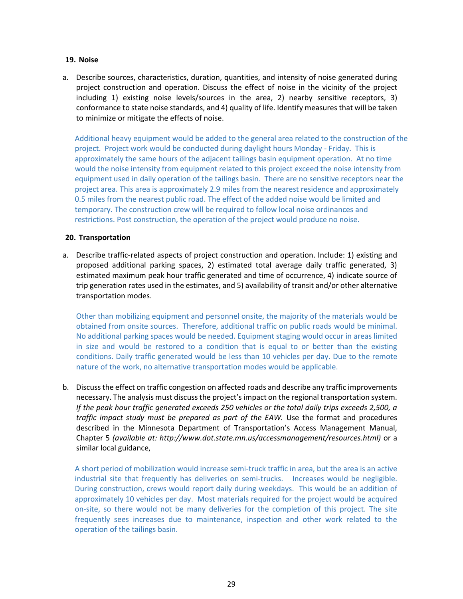# **19. Noise**

a. Describe sources, characteristics, duration, quantities, and intensity of noise generated during project construction and operation. Discuss the effect of noise in the vicinity of the project including 1) existing noise levels/sources in the area, 2) nearby sensitive receptors, 3) conformance to state noise standards, and 4) quality of life. Identify measures that will be taken to minimize or mitigate the effects of noise.

Additional heavy equipment would be added to the general area related to the construction of the project. Project work would be conducted during daylight hours Monday - Friday. This is approximately the same hours of the adjacent tailings basin equipment operation. At no time would the noise intensity from equipment related to this project exceed the noise intensity from equipment used in daily operation of the tailings basin. There are no sensitive receptors near the project area. This area is approximately 2.9 miles from the nearest residence and approximately 0.5 miles from the nearest public road. The effect of the added noise would be limited and temporary. The construction crew will be required to follow local noise ordinances and restrictions. Post construction, the operation of the project would produce no noise.

# **20. Transportation**

a. Describe traffic-related aspects of project construction and operation. Include: 1) existing and proposed additional parking spaces, 2) estimated total average daily traffic generated, 3) estimated maximum peak hour traffic generated and time of occurrence, 4) indicate source of trip generation rates used in the estimates, and 5) availability of transit and/or other alternative transportation modes.

Other than mobilizing equipment and personnel onsite, the majority of the materials would be obtained from onsite sources. Therefore, additional traffic on public roads would be minimal. No additional parking spaces would be needed. Equipment staging would occur in areas limited in size and would be restored to a condition that is equal to or better than the existing conditions. Daily traffic generated would be less than 10 vehicles per day. Due to the remote nature of the work, no alternative transportation modes would be applicable.

b. Discuss the effect on traffic congestion on affected roads and describe any traffic improvements necessary. The analysis must discuss the project's impact on the regional transportation system. *If the peak hour traffic generated exceeds 250 vehicles or the total daily trips exceeds 2,500, a traffic impact study must be prepared as part of the EAW.* Use the format and procedures described in the Minnesota Department of Transportation's Access Management Manual, Chapter 5 *(available at: [http://www.dot.state.mn.us/accessmanagement/resources.html\)](http://www.dot.state.mn.us/accessmanagement/resources.html))* or a similar local guidance,

A short period of mobilization would increase semi-truck traffic in area, but the area is an active industrial site that frequently has deliveries on semi-trucks. Increases would be negligible. During construction, crews would report daily during weekdays. This would be an addition of approximately 10 vehicles per day. Most materials required for the project would be acquired on-site, so there would not be many deliveries for the completion of this project. The site frequently sees increases due to maintenance, inspection and other work related to the operation of the tailings basin.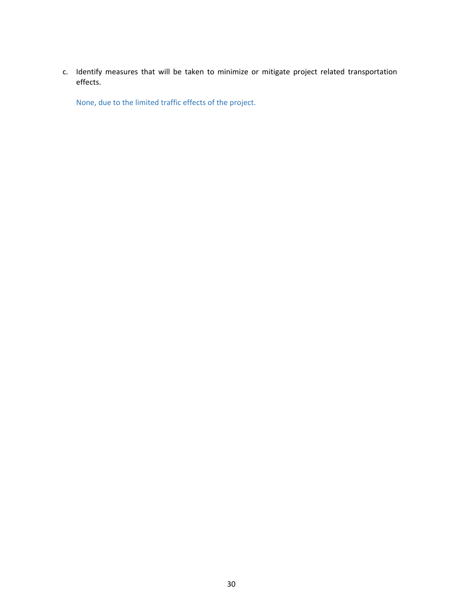c. Identify measures that will be taken to minimize or mitigate project related transportation effects.

None, due to the limited traffic effects of the project.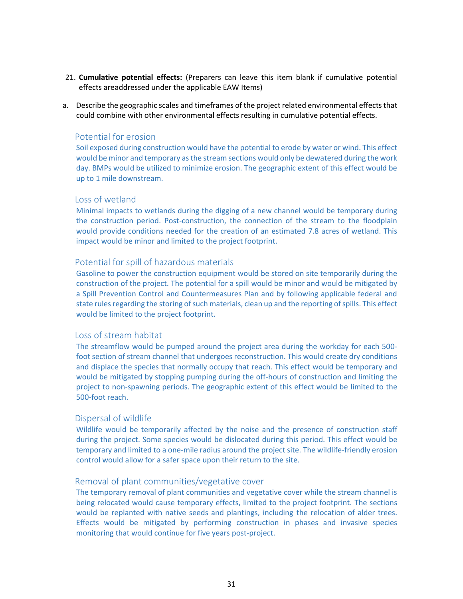- 21. **Cumulative potential effects:** (Preparers can leave this item blank if cumulative potential effects areaddressed under the applicable EAW Items)
- a. Describe the geographic scales and timeframes of the project related environmental effects that could combine with other environmental effects resulting in cumulative potential effects.

# Potential for erosion

Soil exposed during construction would have the potential to erode by water or wind. This effect would be minor and temporary as the stream sections would only be dewatered during the work day. BMPs would be utilized to minimize erosion. The geographic extent of this effect would be up to 1 mile downstream.

# Loss of wetland

Minimal impacts to wetlands during the digging of a new channel would be temporary during the construction period. Post-construction, the connection of the stream to the floodplain would provide conditions needed for the creation of an estimated 7.8 acres of wetland. This impact would be minor and limited to the project footprint.

# Potential for spill of hazardous materials

Gasoline to power the construction equipment would be stored on site temporarily during the construction of the project. The potential for a spill would be minor and would be mitigated by a Spill Prevention Control and Countermeasures Plan and by following applicable federal and state rules regarding the storing of such materials, clean up and the reporting of spills. This effect would be limited to the project footprint.

### Loss of stream habitat

The streamflow would be pumped around the project area during the workday for each 500 foot section of stream channel that undergoes reconstruction. This would create dry conditions and displace the species that normally occupy that reach. This effect would be temporary and would be mitigated by stopping pumping during the off-hours of construction and limiting the project to non-spawning periods. The geographic extent of this effect would be limited to the 500-foot reach.

# Dispersal of wildlife

Wildlife would be temporarily affected by the noise and the presence of construction staff during the project. Some species would be dislocated during this period. This effect would be temporary and limited to a one-mile radius around the project site. The wildlife-friendly erosion control would allow for a safer space upon their return to the site.

#### Removal of plant communities/vegetative cover

The temporary removal of plant communities and vegetative cover while the stream channel is being relocated would cause temporary effects, limited to the project footprint. The sections would be replanted with native seeds and plantings, including the relocation of alder trees. Effects would be mitigated by performing construction in phases and invasive species monitoring that would continue for five years post-project.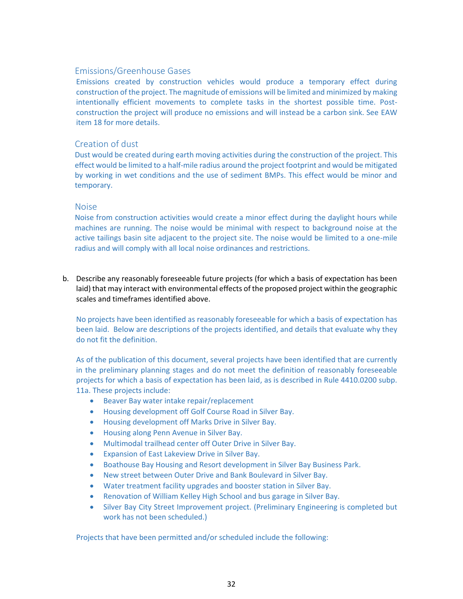# Emissions/Greenhouse Gases

Emissions created by construction vehicles would produce a temporary effect during construction of the project. The magnitude of emissions will be limited and minimized by making intentionally efficient movements to complete tasks in the shortest possible time. Postconstruction the project will produce no emissions and will instead be a carbon sink. See EAW item 18 for more details.

# Creation of dust

Dust would be created during earth moving activities during the construction of the project. This effect would be limited to a half-mile radius around the project footprint and would be mitigated by working in wet conditions and the use of sediment BMPs. This effect would be minor and temporary.

# **Noise**

Noise from construction activities would create a minor effect during the daylight hours while machines are running. The noise would be minimal with respect to background noise at the active tailings basin site adjacent to the project site. The noise would be limited to a one-mile radius and will comply with all local noise ordinances and restrictions.

b. Describe any reasonably foreseeable future projects (for which a basis of expectation has been laid) that may interact with environmental effects of the proposed project within the geographic scales and timeframes identified above.

No projects have been identified as reasonably foreseeable for which a basis of expectation has been laid. Below are descriptions of the projects identified, and details that evaluate why they do not fit the definition.

As of the publication of this document, several projects have been identified that are currently in the preliminary planning stages and do not meet the definition of reasonably foreseeable projects for which a basis of expectation has been laid, as is described in Rule 4410.0200 subp. 11a. These projects include:

- Beaver Bay water intake repair/replacement
- Housing development off Golf Course Road in Silver Bay.
- Housing development off Marks Drive in Silver Bay.
- Housing along Penn Avenue in Silver Bay.
- Multimodal trailhead center off Outer Drive in Silver Bay.
- Expansion of East Lakeview Drive in Silver Bay.
- Boathouse Bay Housing and Resort development in Silver Bay Business Park.
- New street between Outer Drive and Bank Boulevard in Silver Bay.
- Water treatment facility upgrades and booster station in Silver Bay.
- Renovation of William Kelley High School and bus garage in Silver Bay.
- Silver Bay City Street Improvement project. (Preliminary Engineering is completed but work has not been scheduled.)

Projects that have been permitted and/or scheduled include the following: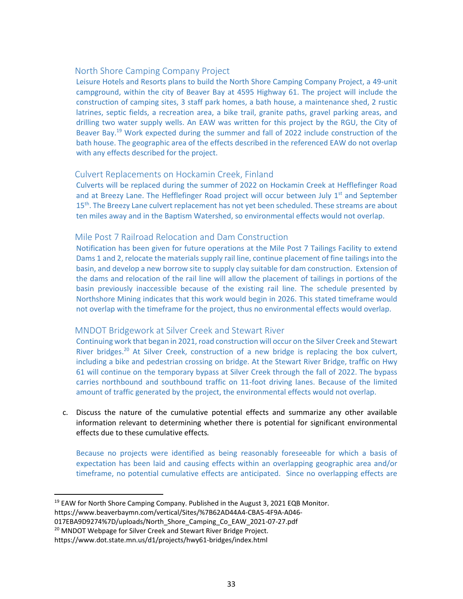# North Shore Camping Company Project

Leisure Hotels and Resorts plans to build the North Shore Camping Company Project, a 49-unit campground, within the city of Beaver Bay at 4595 Highway 61. The project will include the construction of camping sites, 3 staff park homes, a bath house, a maintenance shed, 2 rustic latrines, septic fields, a recreation area, a bike trail, granite paths, gravel parking areas, and drilling two water supply wells. An EAW was written for this project by the RGU, the City of Beaver Bay.<sup>19</sup> Work expected during the summer and fall of 2022 include construction of the bath house. The geographic area of the effects described in the referenced EAW do not overlap with any effects described for the project.

# Culvert Replacements on Hockamin Creek, Finland

Culverts will be replaced during the summer of 2022 on Hockamin Creek at Hefflefinger Road and at Breezy Lane. The Hefflefinger Road project will occur between July  $1<sup>st</sup>$  and September 15<sup>th</sup>. The Breezy Lane culvert replacement has not yet been scheduled. These streams are about ten miles away and in the Baptism Watershed, so environmental effects would not overlap.

# Mile Post 7 Railroad Relocation and Dam Construction

Notification has been given for future operations at the Mile Post 7 Tailings Facility to extend Dams 1 and 2, relocate the materials supply rail line, continue placement of fine tailings into the basin, and develop a new borrow site to supply clay suitable for dam construction. Extension of the dams and relocation of the rail line will allow the placement of tailings in portions of the basin previously inaccessible because of the existing rail line. The schedule presented by Northshore Mining indicates that this work would begin in 2026. This stated timeframe would not overlap with the timeframe for the project, thus no environmental effects would overlap.

# MNDOT Bridgework at Silver Creek and Stewart River

Continuing work that began in 2021, road construction will occur on the Silver Creek and Stewart River bridges.<sup>20</sup> At Silver Creek, construction of a new bridge is replacing the box culvert, including a bike and pedestrian crossing on bridge. At the Stewart River Bridge, traffic on Hwy 61 will continue on the temporary bypass at Silver Creek through the fall of 2022. The bypass carries northbound and southbound traffic on 11-foot driving lanes. Because of the limited amount of traffic generated by the project, the environmental effects would not overlap.

c. Discuss the nature of the cumulative potential effects and summarize any other available information relevant to determining whether there is potential for significant environmental effects due to these cumulative effects*.*

Because no projects were identified as being reasonably foreseeable for which a basis of expectation has been laid and causing effects within an overlapping geographic area and/or timeframe, no potential cumulative effects are anticipated. Since no overlapping effects are

- $19$  EAW for North Shore Camping Company. Published in the August 3, 2021 EQB Monitor.
- https://www.beaverbaymn.com/vertical/Sites/%7B62AD44A4-CBA5-4F9A-A046-
- 017EBA9D9274%7D/uploads/North\_Shore\_Camping\_Co\_EAW\_2021-07-27.pdf
- <sup>20</sup> MNDOT Webpage for Silver Creek and Stewart River Bridge Project.

https://www.dot.state.mn.us/d1/projects/hwy61-bridges/index.html